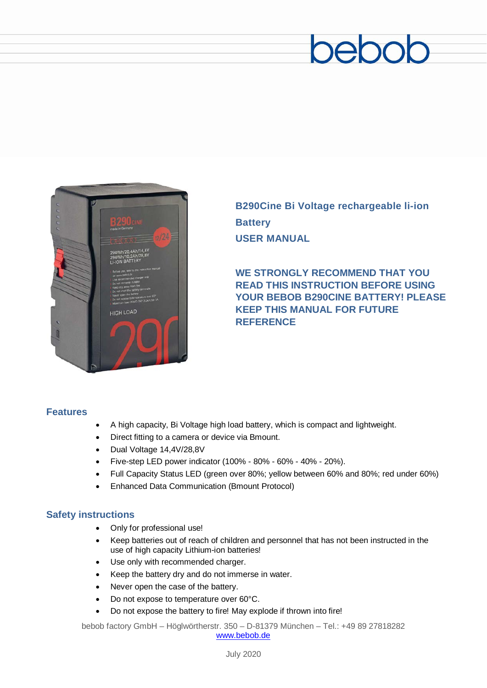# beboc



**B290Cine Bi Voltage rechargeable li-ion Battery USER MANUAL**

**WE STRONGLY RECOMMEND THAT YOU READ THIS INSTRUCTION BEFORE USING YOUR BEBOB B290CINE BATTERY! PLEASE KEEP THIS MANUAL FOR FUTURE REFERENCE**

#### **Features**

- A high capacity, Bi Voltage high load battery, which is compact and lightweight.
- Direct fitting to a camera or device via Bmount.
- Dual Voltage 14,4V/28,8V
- Five-step LED power indicator (100% 80% 60% 40% 20%).
- Full Capacity Status LED (green over 80%; yellow between 60% and 80%; red under 60%)
- Enhanced Data Communication (Bmount Protocol)

#### **Safety instructions**

- Only for professional use!
- Keep batteries out of reach of children and personnel that has not been instructed in the use of high capacity Lithium-ion batteries!
- Use only with recommended charger.
- Keep the battery dry and do not immerse in water.
- Never open the case of the battery.
- Do not expose to temperature over 60°C.
- Do not expose the battery to fire! May explode if thrown into fire!

bebob factory GmbH – Höglwörtherstr. 350 – D-81379 München – Tel.: +49 89 27818282 [www.bebob.de](http://www.bebob.de/)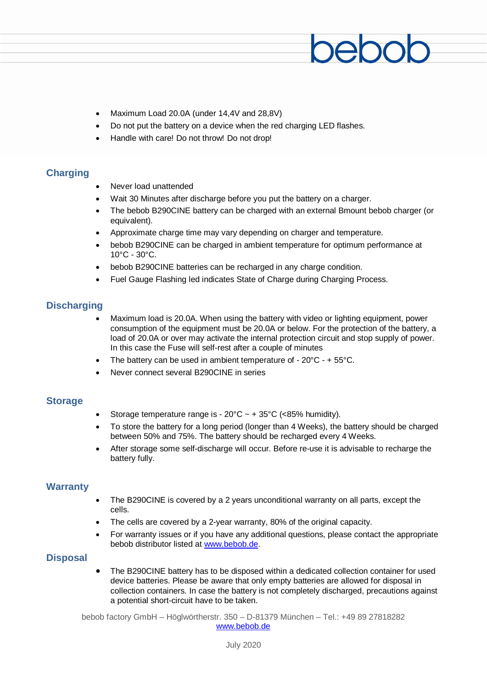- Maximum Load 20.0A (under 14,4V and 28,8V)
- Do not put the battery on a device when the red charging LED flashes.
- Handle with care! Do not throw! Do not drop!

#### **Charging**

- Never load unattended
- Wait 30 Minutes after discharge before you put the battery on a charger.
- The bebob B290CINE battery can be charged with an external Bmount bebob charger (or equivalent).
- Approximate charge time may vary depending on charger and temperature.
- bebob B290CINE can be charged in ambient temperature for optimum performance at 10°C - 30°C.
- bebob B290CINE batteries can be recharged in any charge condition.
- Fuel Gauge Flashing led indicates State of Charge during Charging Process.

#### **Discharging**

- Maximum load is 20.0A. When using the battery with video or lighting equipment, power consumption of the equipment must be 20.0A or below. For the protection of the battery, a load of 20.0A or over may activate the internal protection circuit and stop supply of power. In this case the Fuse will self-rest after a couple of minutes
- The battery can be used in ambient temperature of  $20^{\circ}$ C +  $55^{\circ}$ C.
- Never connect several B290CINE in series

#### **Storage**

- Storage temperature range is  $20^{\circ}$ C ~ +  $35^{\circ}$ C (<85% humidity).
- To store the battery for a long period (longer than 4 Weeks), the battery should be charged between 50% and 75%. The battery should be recharged every 4 Weeks.
- After storage some self-discharge will occur. Before re-use it is advisable to recharge the battery fully.

#### **Warranty**

- The B290CINE is covered by a 2 years unconditional warranty on all parts, except the cells.
- The cells are covered by a 2-year warranty, 80% of the original capacity.
- For warranty issues or if you have any additional questions, please contact the appropriate bebob distributor listed at [www.bebob.de.](http://www.bebob.de/)

#### **Disposal**

• The B290CINE battery has to be disposed within a dedicated collection container for used device batteries. Please be aware that only empty batteries are allowed for disposal in collection containers. In case the battery is not completely discharged, precautions against a potential short-circuit have to be taken.

bebob factory GmbH – Höglwörtherstr. 350 – D-81379 München – Tel.: +49 89 27818282 [www.bebob.de](http://www.bebob.de/)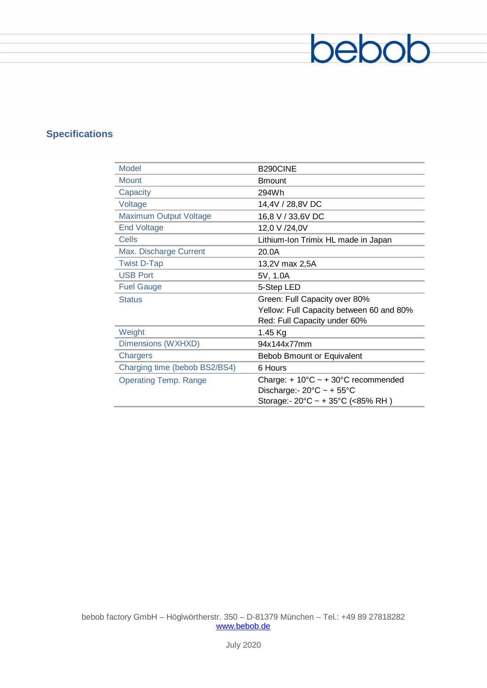### **Specifications**

| <b>Model</b>                  | B290CINE                                               |
|-------------------------------|--------------------------------------------------------|
| <b>Mount</b>                  | <b>Bmount</b>                                          |
| Capacity                      | 294Wh                                                  |
| Voltage                       | 14,4V / 28,8V DC                                       |
| <b>Maximum Output Voltage</b> | 16,8 V / 33,6V DC                                      |
| <b>End Voltage</b>            | 12,0 V /24,0V                                          |
| Cells                         | Lithium-Ion Trimix HL made in Japan                    |
| Max. Discharge Current        | 20.0A                                                  |
| <b>Twist D-Tap</b>            | 13,2V max 2,5A                                         |
| <b>USB Port</b>               | 5V, 1.0A                                               |
| <b>Fuel Gauge</b>             | 5-Step LED                                             |
| <b>Status</b>                 | Green: Full Capacity over 80%                          |
|                               | Yellow: Full Capacity between 60 and 80%               |
|                               | Red: Full Capacity under 60%                           |
| Weight                        | 1.45 Kg                                                |
| Dimensions (WXHXD)            | 94x144x77mm                                            |
| Chargers                      | Bebob Bmount or Equivalent                             |
| Charging time (bebob BS2/BS4) | 6 Hours                                                |
| <b>Operating Temp. Range</b>  | Charge: $+10^{\circ}$ C ~ $+30^{\circ}$ C recommended  |
|                               | Discharge: - $20^{\circ}$ C ~ + $55^{\circ}$ C         |
|                               | Storage:- $20^{\circ}$ C ~ + 35 $^{\circ}$ C (<85% RH) |

bebob

bebob factory GmbH – Höglwörtherstr. 350 – D-81379 München – Tel.: +49 89 27818282 [www.bebob.de](http://www.bebob.de/)